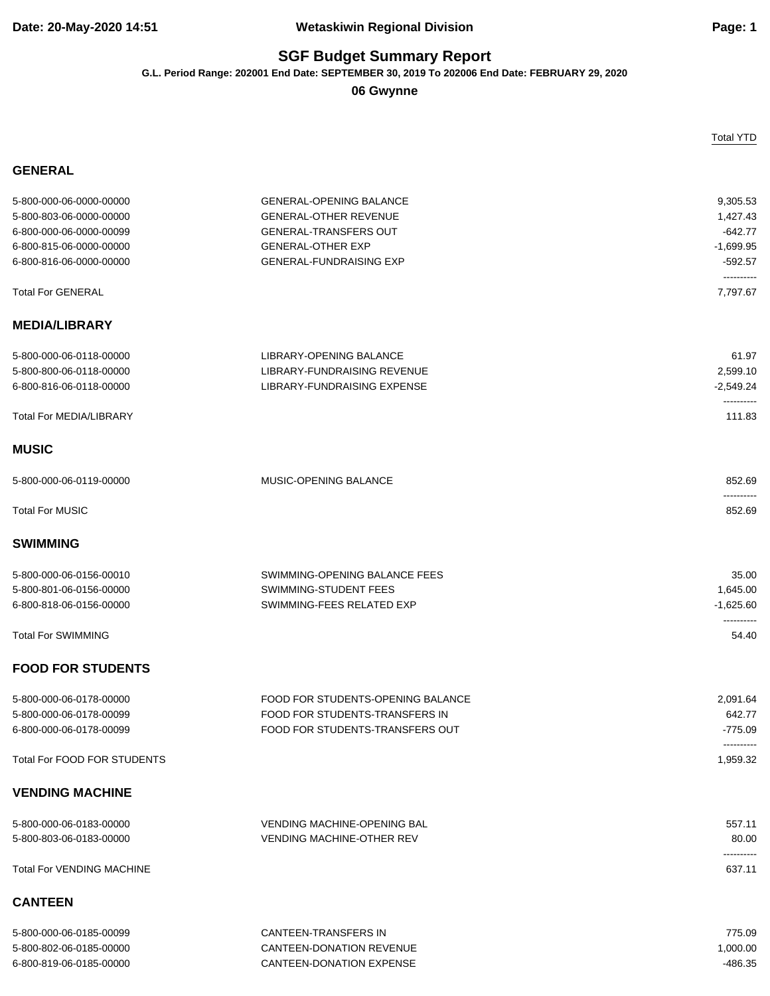### **Date: 20-May-2020 14:51 Wetaskiwin Regional Division Page: 1**

## **SGF Budget Summary Report**

**G.L. Period Range: 202001 End Date: SEPTEMBER 30, 2019 To 202006 End Date: FEBRUARY 29, 2020**

**06 Gwynne**

Total YTD

| 5-800-000-06-0000-00000          | <b>GENERAL-OPENING BALANCE</b>     | 9,305.53               |
|----------------------------------|------------------------------------|------------------------|
| 5-800-803-06-0000-00000          | <b>GENERAL-OTHER REVENUE</b>       | 1,427.43               |
| 6-800-000-06-0000-00099          | <b>GENERAL-TRANSFERS OUT</b>       | $-642.77$              |
| 6-800-815-06-0000-00000          | <b>GENERAL-OTHER EXP</b>           | $-1,699.95$            |
| 6-800-816-06-0000-00000          | <b>GENERAL-FUNDRAISING EXP</b>     | $-592.57$              |
| <b>Total For GENERAL</b>         |                                    | ----------<br>7,797.67 |
| <b>MEDIA/LIBRARY</b>             |                                    |                        |
|                                  |                                    |                        |
| 5-800-000-06-0118-00000          | LIBRARY-OPENING BALANCE            | 61.97                  |
| 5-800-800-06-0118-00000          | LIBRARY-FUNDRAISING REVENUE        | 2,599.10               |
| 6-800-816-06-0118-00000          | LIBRARY-FUNDRAISING EXPENSE        | $-2,549.24$            |
| <b>Total For MEDIA/LIBRARY</b>   |                                    | 111.83                 |
| <b>MUSIC</b>                     |                                    |                        |
| 5-800-000-06-0119-00000          | MUSIC-OPENING BALANCE              | 852.69                 |
| <b>Total For MUSIC</b>           |                                    | ----------<br>852.69   |
| <b>SWIMMING</b>                  |                                    |                        |
| 5-800-000-06-0156-00010          | SWIMMING-OPENING BALANCE FEES      | 35.00                  |
| 5-800-801-06-0156-00000          | SWIMMING-STUDENT FEES              | 1,645.00               |
| 6-800-818-06-0156-00000          | SWIMMING-FEES RELATED EXP          | $-1,625.60$            |
|                                  |                                    | ----------             |
| <b>Total For SWIMMING</b>        |                                    | 54.40                  |
| <b>FOOD FOR STUDENTS</b>         |                                    |                        |
| 5-800-000-06-0178-00000          | FOOD FOR STUDENTS-OPENING BALANCE  | 2,091.64               |
| 5-800-000-06-0178-00099          | FOOD FOR STUDENTS-TRANSFERS IN     | 642.77                 |
| 6-800-000-06-0178-00099          | FOOD FOR STUDENTS-TRANSFERS OUT    | $-775.09$              |
| Total For FOOD FOR STUDENTS      |                                    | ----------<br>1,959.32 |
| <b>VENDING MACHINE</b>           |                                    |                        |
| 5-800-000-06-0183-00000          | <b>VENDING MACHINE-OPENING BAL</b> | 557.11                 |
| 5-800-803-06-0183-00000          | <b>VENDING MACHINE-OTHER REV</b>   | 80.00                  |
| <b>Total For VENDING MACHINE</b> |                                    | 637.11                 |
| <b>CANTEEN</b>                   |                                    |                        |
| 5-800-000-06-0185-00099          | <b>CANTEEN-TRANSFERS IN</b>        | 775.09                 |
| 5-800-802-06-0185-00000          | CANTEEN-DONATION REVENUE           | 1,000.00               |
| 6-800-819-06-0185-00000          | <b>CANTEEN-DONATION EXPENSE</b>    | $-486.35$              |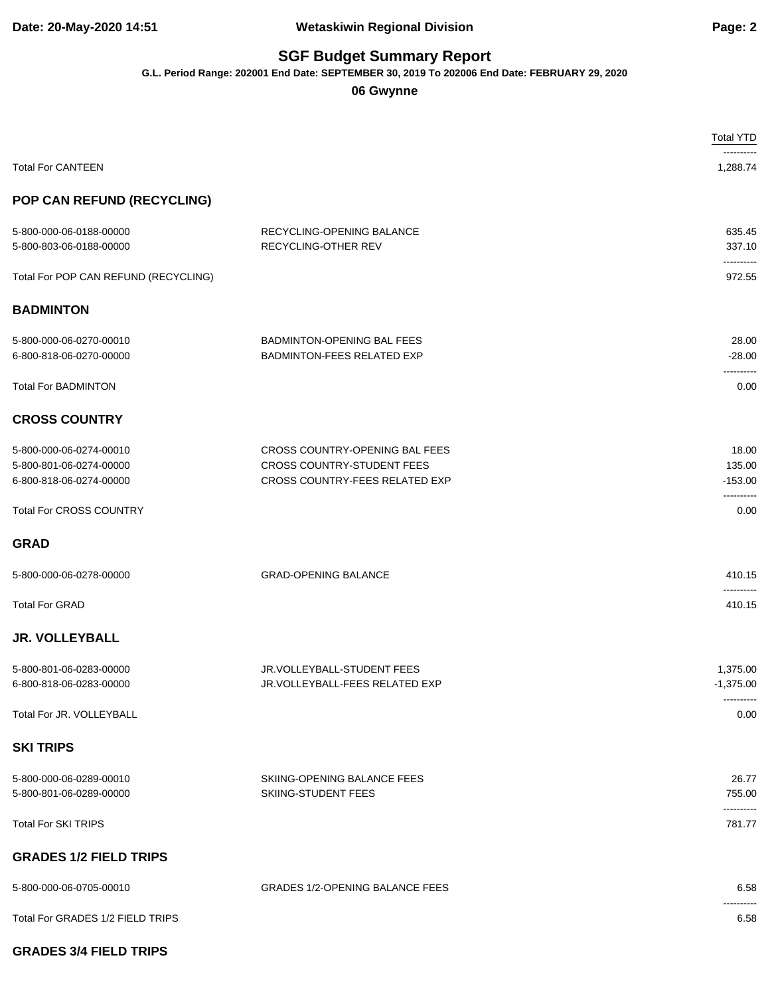#### **Date: 20-May-2020 14:51 Wetaskiwin Regional Division Page: 2**

### **SGF Budget Summary Report**

**G.L. Period Range: 202001 End Date: SEPTEMBER 30, 2019 To 202006 End Date: FEBRUARY 29, 2020**

### **06 Gwynne**

|                                                                               |                                                                                                | <b>Total YTD</b>                      |
|-------------------------------------------------------------------------------|------------------------------------------------------------------------------------------------|---------------------------------------|
| <b>Total For CANTEEN</b>                                                      |                                                                                                | 1,288.74                              |
| POP CAN REFUND (RECYCLING)                                                    |                                                                                                |                                       |
| 5-800-000-06-0188-00000<br>5-800-803-06-0188-00000                            | RECYCLING-OPENING BALANCE<br>RECYCLING-OTHER REV                                               | 635.45<br>337.10                      |
| Total For POP CAN REFUND (RECYCLING)                                          |                                                                                                | ----------<br>972.55                  |
| <b>BADMINTON</b>                                                              |                                                                                                |                                       |
| 5-800-000-06-0270-00010<br>6-800-818-06-0270-00000                            | <b>BADMINTON-OPENING BAL FEES</b><br><b>BADMINTON-FEES RELATED EXP</b>                         | 28.00<br>$-28.00$<br>----------       |
| <b>Total For BADMINTON</b>                                                    |                                                                                                | 0.00                                  |
| <b>CROSS COUNTRY</b>                                                          |                                                                                                |                                       |
| 5-800-000-06-0274-00010<br>5-800-801-06-0274-00000<br>6-800-818-06-0274-00000 | CROSS COUNTRY-OPENING BAL FEES<br>CROSS COUNTRY-STUDENT FEES<br>CROSS COUNTRY-FEES RELATED EXP | 18.00<br>135.00<br>$-153.00$          |
| <b>Total For CROSS COUNTRY</b>                                                |                                                                                                | 0.00                                  |
| <b>GRAD</b>                                                                   |                                                                                                |                                       |
| 5-800-000-06-0278-00000                                                       | <b>GRAD-OPENING BALANCE</b>                                                                    | 410.15                                |
| <b>Total For GRAD</b>                                                         |                                                                                                | 410.15                                |
| <b>JR. VOLLEYBALL</b>                                                         |                                                                                                |                                       |
| 5-800-801-06-0283-00000<br>6-800-818-06-0283-00000                            | JR.VOLLEYBALL-STUDENT FEES<br>JR.VOLLEYBALL-FEES RELATED EXP                                   | 1,375.00<br>$-1,375.00$<br>---------- |
| Total For JR. VOLLEYBALL                                                      |                                                                                                | 0.00                                  |
| <b>SKI TRIPS</b>                                                              |                                                                                                |                                       |
| 5-800-000-06-0289-00010<br>5-800-801-06-0289-00000                            | SKIING-OPENING BALANCE FEES<br>SKIING-STUDENT FEES                                             | 26.77<br>755.00                       |
| <b>Total For SKI TRIPS</b>                                                    |                                                                                                | 781.77                                |
| <b>GRADES 1/2 FIELD TRIPS</b>                                                 |                                                                                                |                                       |
| 5-800-000-06-0705-00010                                                       | <b>GRADES 1/2-OPENING BALANCE FEES</b>                                                         | 6.58                                  |
| Total For GRADES 1/2 FIELD TRIPS                                              |                                                                                                | 6.58                                  |
| <b>GRADES 3/4 FIELD TRIPS</b>                                                 |                                                                                                |                                       |